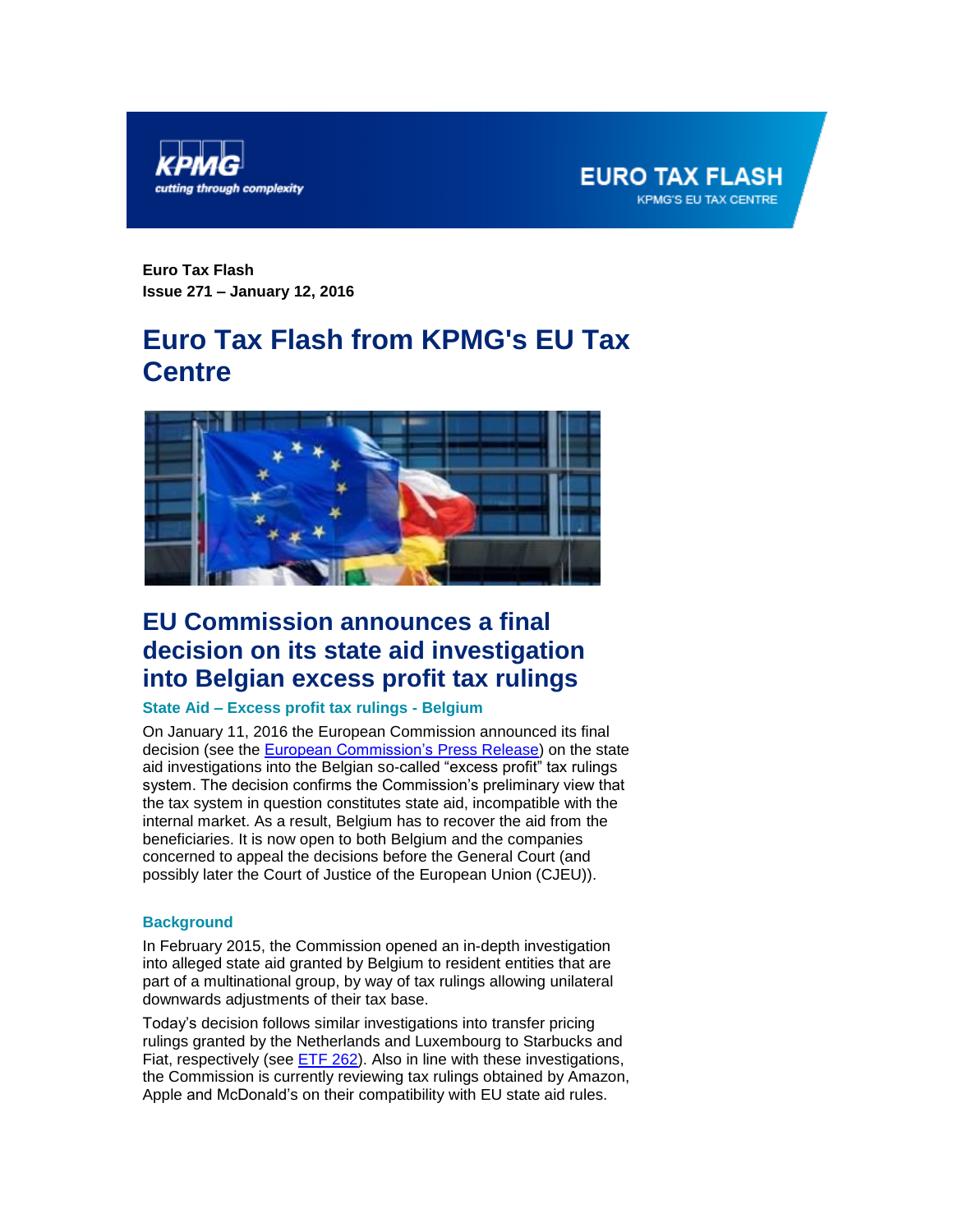



**Euro Tax Flash Issue 271 – January 12, 2016**

# **Euro Tax Flash from KPMG's EU Tax Centre**



## <span id="page-0-0"></span>**EU Commission announces a final decision on its state aid investigation into Belgian excess profit tax rulings**

### **State Aid – Excess profit tax rulings - Belgium**

On January 11, 2016 the European Commission announced its final decision (see the **European Commission's Press Release**) on the state aid investigations into the Belgian so-called "excess profit" tax rulings system. The decision confirms the Commission's preliminary view that the tax system in question constitutes state aid, incompatible with the internal market. As a result, Belgium has to recover the aid from the beneficiaries. It is now open to both Belgium and the companies concerned to appeal the decisions before the General Court (and possibly later the Court of Justice of the European Union (CJEU)).

#### **Background**

In February 2015, the Commission opened an in-depth investigation into alleged state aid granted by Belgium to resident entities that are part of a multinational group, by way of tax rulings allowing unilateral downwards adjustments of their tax base.

Today's decision follows similar investigations into transfer pricing rulings granted by the Netherlands and Luxembourg to Starbucks and Fiat, respectively (see [ETF 262\)](https://home.kpmg.com/xx/en/home/insights/2015/10/eu-commission-announces-final-decisions-on-state-aid-investigation.html). Also in line with these investigations, the Commission is currently reviewing tax rulings obtained by Amazon, Apple and McDonald's on their compatibility with EU state aid rules.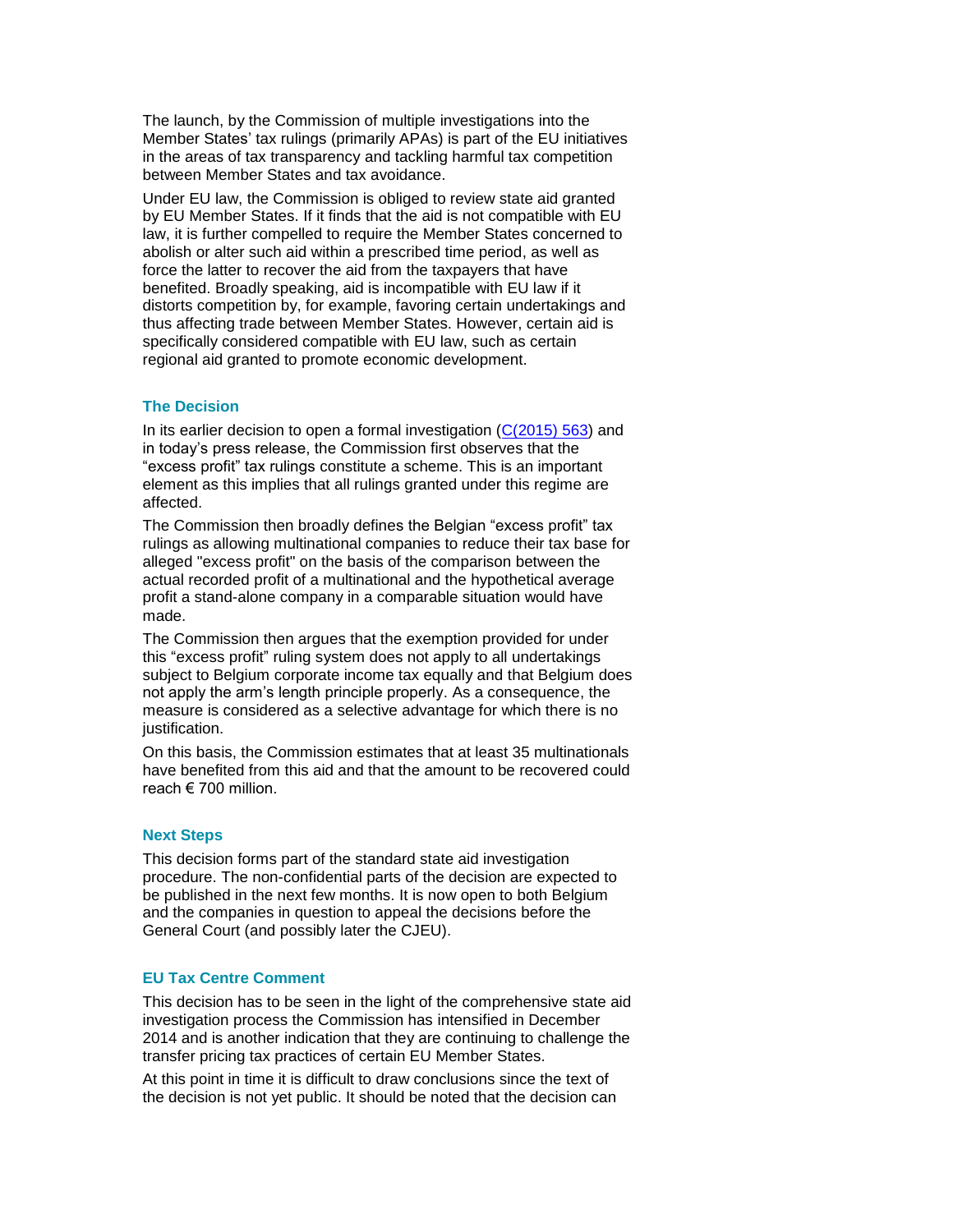The launch, by the Commission of multiple investigations into the Member States' tax rulings (primarily APAs) is part of the EU initiatives in the areas of tax transparency and tackling harmful tax competition between Member States and tax avoidance.

Under EU law, the Commission is obliged to review state aid granted by EU Member States. If it finds that the aid is not compatible with EU law, it is further compelled to require the Member States concerned to abolish or alter such aid within a prescribed time period, as well as force the latter to recover the aid from the taxpayers that have benefited. Broadly speaking, aid is incompatible with EU law if it distorts competition by, for example, favoring certain undertakings and thus affecting trade between Member States. However, certain aid is specifically considered compatible with EU law, such as certain regional aid granted to promote economic development.

#### **The Decision**

In its earlier decision to open a formal investigation  $(C(2015) 563)$  $(C(2015) 563)$  and in today's press release, the Commission first observes that the "excess profit" tax rulings constitute a scheme. This is an important element as this implies that all rulings granted under this regime are affected.

The Commission then broadly defines the Belgian "excess profit" tax rulings as allowing multinational companies to reduce their tax base for alleged "excess profit" on the basis of the comparison between the actual recorded profit of a multinational and the hypothetical average profit a stand-alone company in a comparable situation would have made.

The Commission then argues that the exemption provided for under this "excess profit" ruling system does not apply to all undertakings subject to Belgium corporate income tax equally and that Belgium does not apply the arm's length principle properly. As a consequence, the measure is considered as a selective advantage for which there is no justification.

On this basis, the Commission estimates that at least 35 multinationals have benefited from this aid and that the amount to be recovered could reach € 700 million.

#### **Next Steps**

This decision forms part of the standard state aid investigation procedure. The non-confidential parts of the decision are expected to be published in the next few months. It is now open to both Belgium and the companies in question to appeal the decisions before the General Court (and possibly later the CJEU).

#### **EU Tax Centre Comment**

This decision has to be seen in the light of the comprehensive state aid investigation process the Commission has intensified in December 2014 and is another indication that they are continuing to challenge the transfer pricing tax practices of certain EU Member States.

At this point in time it is difficult to draw conclusions since the text of the decision is not yet public. It should be noted that the decision can